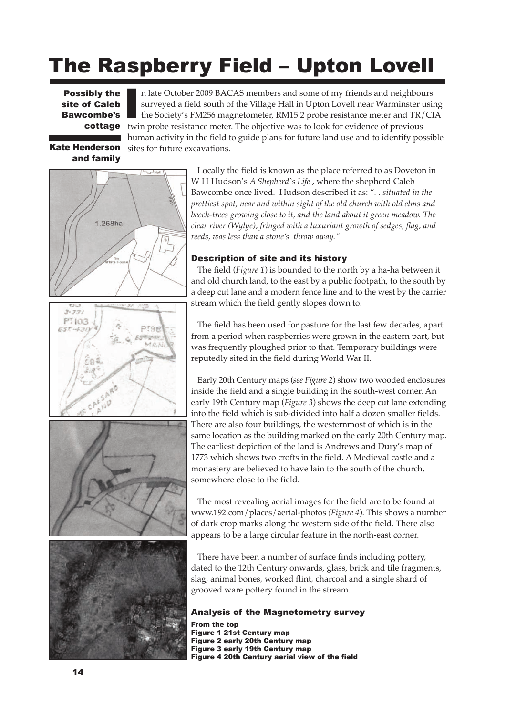# The Raspberry Field – Upton Lovell

**Possibly the** site of Caleb Bawcombe's

n late October 2009 BACAS members and some of my friends and neighbours surveyed a field south of the Village Hall in Upton Lovell near Warminster using the Society's FM256 magnetometer, RM15 2 probe resistance meter and TR/CIA cottage twin probe resistance meter. The objective was to look for evidence of previous human activity in the field to guide plans for future land use and to identify possible sites for future excavations.

Kate Henderson and family



Locally the field is known as the place referred to as Doveton in W H Hudson's *A Shepherd`s Life* , where the shepherd Caleb Bawcombe once lived. Hudson described it as: "*. . situated in the prettiest spot, near and within sight of the old church with old elms and beech-trees growing close to it, and the land about it green meadow. The clear river (Wylye), fringed with a luxuriant growth of sedges, flag, and reeds, was less than a stone's throw away."*

## Description of site and its history

The field (*Figure 1*) is bounded to the north by a ha-ha between it and old church land, to the east by a public footpath, to the south by a deep cut lane and a modern fence line and to the west by the carrier stream which the field gently slopes down to.

The field has been used for pasture for the last few decades, apart from a period when raspberries were grown in the eastern part, but was frequently ploughed prior to that. Temporary buildings were reputedly sited in the field during World War II.

Early 20th Century maps (*see Figure 2*) show two wooded enclosures inside the field and a single building in the south-west corner. An early 19th Century map (*Figure 3*) shows the deep cut lane extending into the field which is sub-divided into half a dozen smaller fields. There are also four buildings, the westernmost of which is in the same location as the building marked on the early 20th Century map. The earliest depiction of the land is Andrews and Dury's map of 1773 which shows two crofts in the field. A Medieval castle and a monastery are believed to have lain to the south of the church, somewhere close to the field.

The most revealing aerial images for the field are to be found at www.192.com/places/aerial-photos *(Figure 4*). This shows a number of dark crop marks along the western side of the field. There also appears to be a large circular feature in the north-east corner.

There have been a number of surface finds including pottery, dated to the 12th Century onwards, glass, brick and tile fragments, slag, animal bones, worked flint, charcoal and a single shard of grooved ware pottery found in the stream.

### Analysis of the Magnetometry survey

From the top Figure 1 21st Century map Figure 2 early 20th Century map Figure 3 early 19th Century map Figure 4 20th Century aerial view of the field